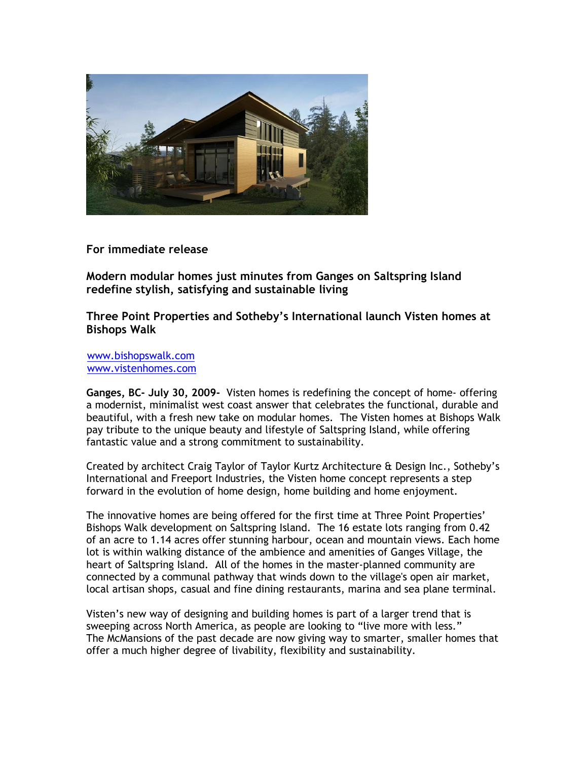

**For immediate release**

**Modern modular homes just minutes from Ganges on Saltspring Island redefine stylish, satisfying and sustainable living**

**Three Point Properties and Sothebyís International launch Visten homes at Bishops Walk**

[www.bishopswalk.com](http://www.bishopswalk.com/) [www.vistenhomes.com](http://www.vistenhomes.com/)

**Ganges, BC- July 30, 2009-** Visten homes is redefining the concept of home- offering a modernist, minimalist west coast answer that celebrates the functional, durable and beautiful, with a fresh new take on modular homes. The Visten homes at Bishops Walk pay tribute to the unique beauty and lifestyle of Saltspring Island, while offering fantastic value and a strong commitment to sustainability.

Created by architect Craig Taylor of Taylor Kurtz Architecture & Design Inc., Sothebyís International and Freeport Industries, the Visten home concept represents a step forward in the evolution of home design, home building and home enjoyment.

The innovative homes are being offered for the first time at Three Point Properties' Bishops Walk development on Saltspring Island. The 16 estate lots ranging from 0.42 of an acre to 1.14 acres offer stunning harbour, ocean and mountain views. Each home lot is within walking distance of the ambience and amenities of Ganges Village, the heart of Saltspring Island. All of the homes in the master-planned community are connected by a communal pathway that winds down to the village's open air market, local artisan shops, casual and fine dining restaurants, marina and sea plane terminal.

Visten's new way of designing and building homes is part of a larger trend that is sweeping across North America, as people are looking to "live more with less." The McMansions of the past decade are now giving way to smarter, smaller homes that offer a much higher degree of livability, flexibility and sustainability.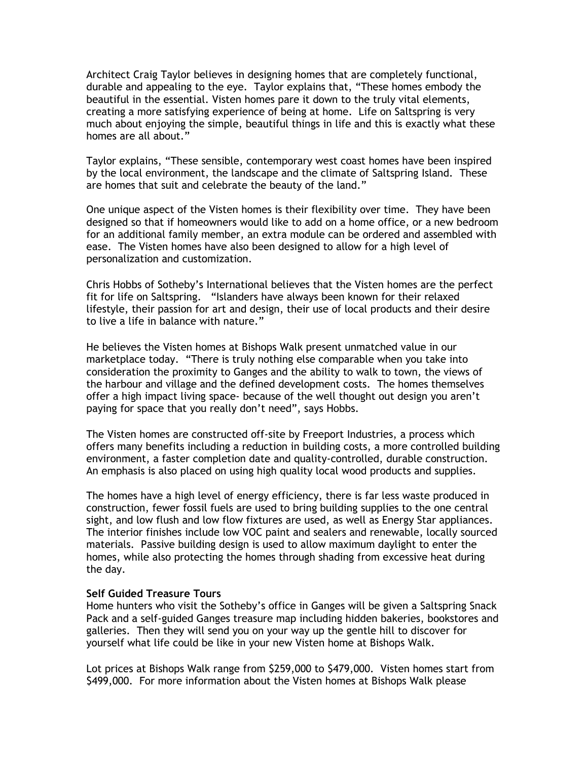Architect Craig Taylor believes in designing homes that are completely functional, durable and appealing to the eye. Taylor explains that, "These homes embody the beautiful in the essential. Visten homes pare it down to the truly vital elements, creating a more satisfying experience of being at home. Life on Saltspring is very much about enjoying the simple, beautiful things in life and this is exactly what these homes are all about."

Taylor explains, "These sensible, contemporary west coast homes have been inspired by the local environment, the landscape and the climate of Saltspring Island. These are homes that suit and celebrate the beauty of the land."

One unique aspect of the Visten homes is their flexibility over time. They have been designed so that if homeowners would like to add on a home office, or a new bedroom for an additional family member, an extra module can be ordered and assembled with ease. The Visten homes have also been designed to allow for a high level of personalization and customization.

Chris Hobbs of Sothebyís International believes that the Visten homes are the perfect fit for life on Saltspring. "Islanders have always been known for their relaxed lifestyle, their passion for art and design, their use of local products and their desire to live a life in balance with nature."

He believes the Visten homes at Bishops Walk present unmatched value in our marketplace today. "There is truly nothing else comparable when you take into consideration the proximity to Ganges and the ability to walk to town, the views of the harbour and village and the defined development costs. The homes themselves offer a high impact living space- because of the well thought out design you aren't paying for space that you really don't need", says Hobbs.

The Visten homes are constructed off-site by Freeport Industries, a process which offers many benefits including a reduction in building costs, a more controlled building environment, a faster completion date and quality-controlled, durable construction. An emphasis is also placed on using high quality local wood products and supplies.

The homes have a high level of energy efficiency, there is far less waste produced in construction, fewer fossil fuels are used to bring building supplies to the one central sight, and low flush and low flow fixtures are used, as well as Energy Star appliances. The interior finishes include low VOC paint and sealers and renewable, locally sourced materials. Passive building design is used to allow maximum daylight to enter the homes, while also protecting the homes through shading from excessive heat during the day.

### **Self Guided Treasure Tours**

Home hunters who visit the Sotheby's office in Ganges will be given a Saltspring Snack Pack and a self-guided Ganges treasure map including hidden bakeries, bookstores and galleries. Then they will send you on your way up the gentle hill to discover for yourself what life could be like in your new Visten home at Bishops Walk.

Lot prices at Bishops Walk range from \$259,000 to \$479,000. Visten homes start from \$499,000. For more information about the Visten homes at Bishops Walk please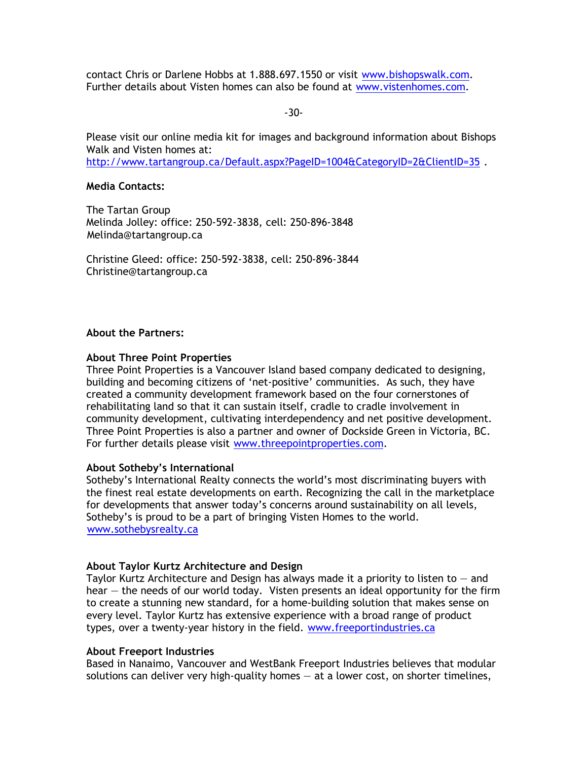contact Chris or Darlene Hobbs at 1.888.697.1550 or visit [www.bishopswalk.c](http://www.bishopswalksaltspringisland.com/)[om.](http://www.bishopswalk.com) Further details about Visten homes can also be found at [www.vistenhomes.c](http://www.vistenhomes.com/)[om.](http://www.vistenhomes.com)

-30-

Please visit our online media kit for images and background information about Bishops Walk and Visten homes at: <http://www.tartangroup.ca/Default.aspx?PageID=1004&CategoryID=2&ClientID=35>[.](http://www.tartangroup.ca/Default.aspx?PageID=1004&CategoryID=2&ClientID=35)

# **Media Contacts:**

The Tartan Group Melinda Jolley: office: 250-592-3838, cell: 250-896-3848 [Melinda@tartangroup.ca](mailto:Melinda@tartanpr.com)

Christine Gleed: office: 250-592-3838, cell: 250-896-3844 [Christine@tartangroup.ca](mailto:Christine@tartangroup.ca)

### **About the Partners:**

### **About Three Point Properties**

Three Point Properties is a Vancouver Island based company dedicated to designing, building and becoming citizens of 'net-positive' communities. As such, they have created a community development framework based on the four cornerstones of rehabilitating land so that it can sustain itself, cradle to cradle involvement in community development, cultivating interdependency and net positive development. Three Point Properties is also a partner and owner of Dockside Green in Victoria, BC. For further details please visit [www.threepointproperties.c](http://www.threepointproperties.com/)[om.](http://www.threepointproperties.com)

### **About Sothebyís International**

Sotheby's International Realty connects the world's most discriminating buyers with the finest real estate developments on earth. Recognizing the call in the marketplace for developments that answer todayís concerns around sustainability on all levels, Sotheby's is proud to be a part of bringing Visten Homes to the world. [www.sothebysrealty.ca](http://www.sothebysrealty.ca/)

# **About Taylor Kurtz Architecture and Design**

Taylor Kurtz Architecture and Design has always made it a priority to listen to  $-$  and hear  $-$  the needs of our world today. Visten presents an ideal opportunity for the firm to create a stunning new standard, for a home-building solution that makes sense on every level. Taylor Kurtz has extensive experience with a broad range of product types, over a twenty-year history in the field. [www.freeportindustries.c](http://www.freeportindustries.ca/)[a](http://www.freeportindustries.ca)

### **About Freeport Industries**

Based in Nanaimo, Vancouver and WestBank Freeport Industries believes that modular solutions can deliver very high-quality homes  $-$  at a lower cost, on shorter timelines,